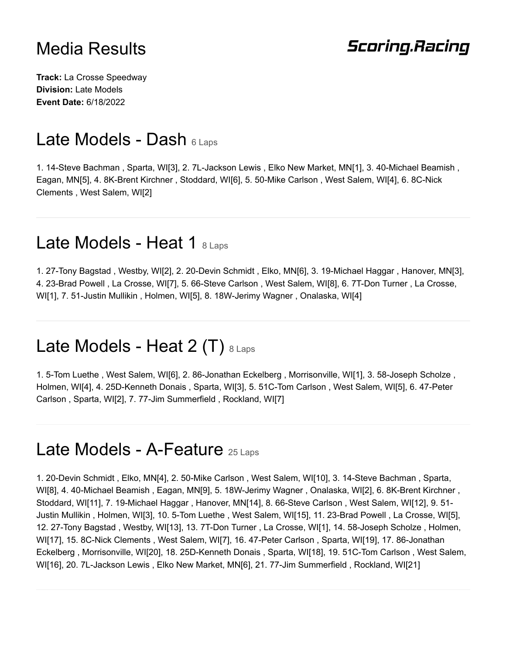#### **Scoring.Racing**

**Track:** La Crosse Speedway **Division:** Late Models **Event Date:** 6/18/2022

### Late Models - Dash 6 Laps

1. 14-Steve Bachman , Sparta, WI[3], 2. 7L-Jackson Lewis , Elko New Market, MN[1], 3. 40-Michael Beamish , Eagan, MN[5], 4. 8K-Brent Kirchner , Stoddard, WI[6], 5. 50-Mike Carlson , West Salem, WI[4], 6. 8C-Nick Clements , West Salem, WI[2]

### Late Models - Heat 1 8 Laps

1. 27-Tony Bagstad , Westby, WI[2], 2. 20-Devin Schmidt , Elko, MN[6], 3. 19-Michael Haggar , Hanover, MN[3], 4. 23-Brad Powell , La Crosse, WI[7], 5. 66-Steve Carlson , West Salem, WI[8], 6. 7T-Don Turner , La Crosse, WI[1], 7. 51-Justin Mullikin , Holmen, WI[5], 8. 18W-Jerimy Wagner , Onalaska, WI[4]

# Late Models - Heat 2 (T)  $8 \text{ Laps}$

1. 5-Tom Luethe , West Salem, WI[6], 2. 86-Jonathan Eckelberg , Morrisonville, WI[1], 3. 58-Joseph Scholze , Holmen, WI[4], 4. 25D-Kenneth Donais , Sparta, WI[3], 5. 51C-Tom Carlson , West Salem, WI[5], 6. 47-Peter Carlson , Sparta, WI[2], 7. 77-Jim Summerfield , Rockland, WI[7]

#### Late Models - A-Feature 25 Laps

1. 20-Devin Schmidt , Elko, MN[4], 2. 50-Mike Carlson , West Salem, WI[10], 3. 14-Steve Bachman , Sparta, WI[8], 4. 40-Michael Beamish , Eagan, MN[9], 5. 18W-Jerimy Wagner , Onalaska, WI[2], 6. 8K-Brent Kirchner , Stoddard, WI[11], 7. 19-Michael Haggar , Hanover, MN[14], 8. 66-Steve Carlson , West Salem, WI[12], 9. 51- Justin Mullikin , Holmen, WI[3], 10. 5-Tom Luethe , West Salem, WI[15], 11. 23-Brad Powell , La Crosse, WI[5], 12. 27-Tony Bagstad , Westby, WI[13], 13. 7T-Don Turner , La Crosse, WI[1], 14. 58-Joseph Scholze , Holmen, WI[17], 15. 8C-Nick Clements , West Salem, WI[7], 16. 47-Peter Carlson , Sparta, WI[19], 17. 86-Jonathan Eckelberg , Morrisonville, WI[20], 18. 25D-Kenneth Donais , Sparta, WI[18], 19. 51C-Tom Carlson , West Salem, WI[16], 20. 7L-Jackson Lewis , Elko New Market, MN[6], 21. 77-Jim Summerfield , Rockland, WI[21]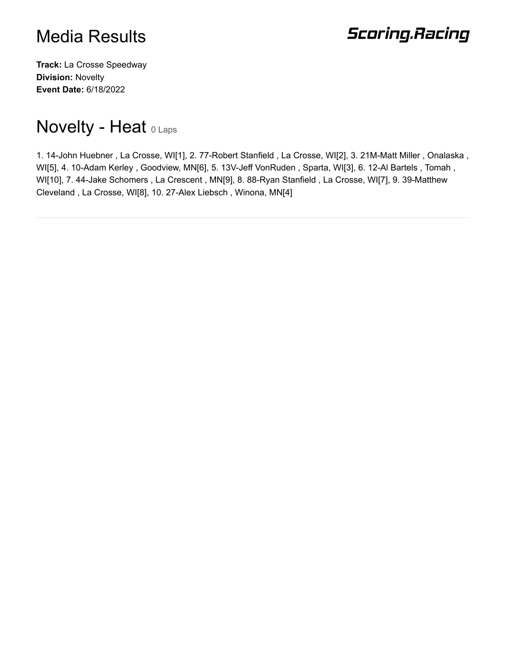# **Scoring.Racing**

**Track:** La Crosse Speedway **Division:** Novelty **Event Date:** 6/18/2022

# Novelty - Heat O Laps

1. 14-John Huebner , La Crosse, WI[1], 2. 77-Robert Stanfield , La Crosse, WI[2], 3. 21M-Matt Miller , Onalaska , WI[5], 4. 10-Adam Kerley , Goodview, MN[6], 5. 13V-Jeff VonRuden , Sparta, WI[3], 6. 12-Al Bartels , Tomah , WI[10], 7. 44-Jake Schomers , La Crescent , MN[9], 8. 88-Ryan Stanfield , La Crosse, WI[7], 9. 39-Matthew Cleveland , La Crosse, WI[8], 10. 27-Alex Liebsch , Winona, MN[4]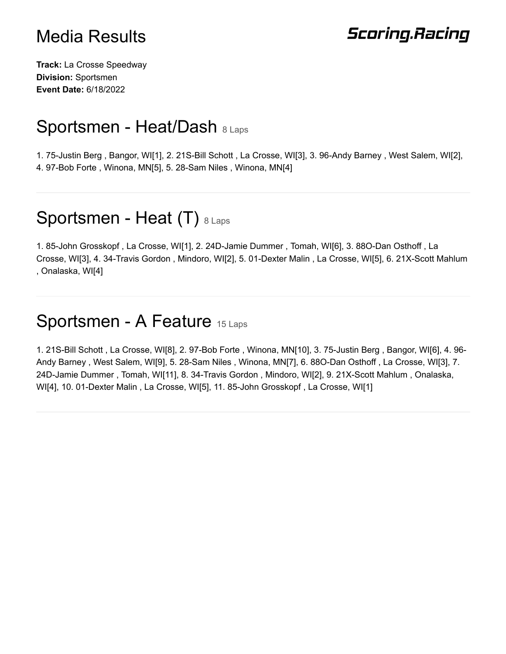# **Scoring.Racing**

**Track:** La Crosse Speedway **Division:** Sportsmen **Event Date:** 6/18/2022

## Sportsmen - Heat/Dash 8 Laps

1. 75-Justin Berg , Bangor, WI[1], 2. 21S-Bill Schott , La Crosse, WI[3], 3. 96-Andy Barney , West Salem, WI[2], 4. 97-Bob Forte , Winona, MN[5], 5. 28-Sam Niles , Winona, MN[4]

# Sportsmen - Heat (T) 8 Laps

1. 85-John Grosskopf , La Crosse, WI[1], 2. 24D-Jamie Dummer , Tomah, WI[6], 3. 88O-Dan Osthoff , La Crosse, WI[3], 4. 34-Travis Gordon , Mindoro, WI[2], 5. 01-Dexter Malin , La Crosse, WI[5], 6. 21X-Scott Mahlum , Onalaska, WI[4]

### Sportsmen - A Feature 15 Laps

1. 21S-Bill Schott , La Crosse, WI[8], 2. 97-Bob Forte , Winona, MN[10], 3. 75-Justin Berg , Bangor, WI[6], 4. 96- Andy Barney , West Salem, WI[9], 5. 28-Sam Niles , Winona, MN[7], 6. 88O-Dan Osthoff , La Crosse, WI[3], 7. 24D-Jamie Dummer , Tomah, WI[11], 8. 34-Travis Gordon , Mindoro, WI[2], 9. 21X-Scott Mahlum , Onalaska, WI[4], 10. 01-Dexter Malin , La Crosse, WI[5], 11. 85-John Grosskopf , La Crosse, WI[1]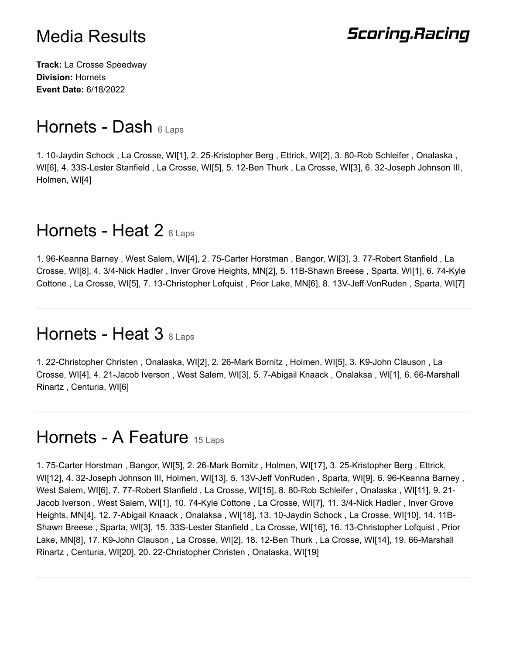# **Scoring.Racing**

**Track:** La Crosse Speedway **Division:** Hornets **Event Date:** 6/18/2022

## Hornets - Dash 6 Laps

1. 10-Jaydin Schock , La Crosse, WI[1], 2. 25-Kristopher Berg , Ettrick, WI[2], 3. 80-Rob Schleifer , Onalaska , WI[6], 4. 33S-Lester Stanfield , La Crosse, WI[5], 5. 12-Ben Thurk , La Crosse, WI[3], 6. 32-Joseph Johnson III, Holmen, WI[4]

## Hornets - Heat 2  $8$  Laps

1. 96-Keanna Barney , West Salem, WI[4], 2. 75-Carter Horstman , Bangor, WI[3], 3. 77-Robert Stanfield , La Crosse, WI[8], 4. 3/4-Nick Hadler , Inver Grove Heights, MN[2], 5. 11B-Shawn Breese , Sparta, WI[1], 6. 74-Kyle Cottone , La Crosse, WI[5], 7. 13-Christopher Lofquist , Prior Lake, MN[6], 8. 13V-Jeff VonRuden , Sparta, WI[7]

## Hornets - Heat 3 8 Laps

1. 22-Christopher Christen , Onalaska, WI[2], 2. 26-Mark Bornitz , Holmen, WI[5], 3. K9-John Clauson , La Crosse, WI[4], 4. 21-Jacob Iverson , West Salem, WI[3], 5. 7-Abigail Knaack , Onalaksa , WI[1], 6. 66-Marshall Rinartz , Centuria, WI[6]

## Hornets - A Feature 15 Laps

1. 75-Carter Horstman , Bangor, WI[5], 2. 26-Mark Bornitz , Holmen, WI[17], 3. 25-Kristopher Berg , Ettrick, WI[12], 4. 32-Joseph Johnson III, Holmen, WI[13], 5. 13V-Jeff VonRuden , Sparta, WI[9], 6. 96-Keanna Barney , West Salem, WI[6], 7. 77-Robert Stanfield , La Crosse, WI[15], 8. 80-Rob Schleifer , Onalaska , WI[11], 9. 21- Jacob Iverson , West Salem, WI[1], 10. 74-Kyle Cottone , La Crosse, WI[7], 11. 3/4-Nick Hadler , Inver Grove Heights, MN[4], 12. 7-Abigail Knaack , Onalaksa , WI[18], 13. 10-Jaydin Schock , La Crosse, WI[10], 14. 11B-Shawn Breese , Sparta, WI[3], 15. 33S-Lester Stanfield , La Crosse, WI[16], 16. 13-Christopher Lofquist , Prior Lake, MN[8], 17. K9-John Clauson , La Crosse, WI[2], 18. 12-Ben Thurk , La Crosse, WI[14], 19. 66-Marshall Rinartz , Centuria, WI[20], 20. 22-Christopher Christen , Onalaska, WI[19]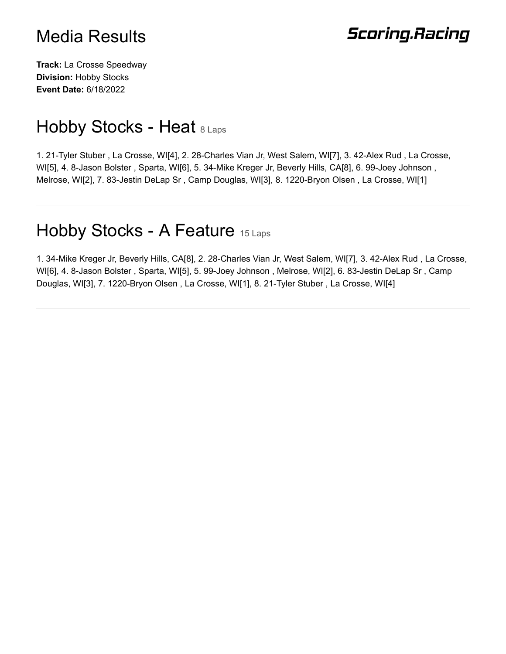# **Scoring.Racing**

**Track:** La Crosse Speedway **Division:** Hobby Stocks **Event Date:** 6/18/2022

# Hobby Stocks - Heat 8 Laps

1. 21-Tyler Stuber , La Crosse, WI[4], 2. 28-Charles Vian Jr, West Salem, WI[7], 3. 42-Alex Rud , La Crosse, WI[5], 4. 8-Jason Bolster , Sparta, WI[6], 5. 34-Mike Kreger Jr, Beverly Hills, CA[8], 6. 99-Joey Johnson , Melrose, WI[2], 7. 83-Jestin DeLap Sr , Camp Douglas, WI[3], 8. 1220-Bryon Olsen , La Crosse, WI[1]

## Hobby Stocks - A Feature 15 Laps

1. 34-Mike Kreger Jr, Beverly Hills, CA[8], 2. 28-Charles Vian Jr, West Salem, WI[7], 3. 42-Alex Rud , La Crosse, WI[6], 4. 8-Jason Bolster , Sparta, WI[5], 5. 99-Joey Johnson , Melrose, WI[2], 6. 83-Jestin DeLap Sr , Camp Douglas, WI[3], 7. 1220-Bryon Olsen , La Crosse, WI[1], 8. 21-Tyler Stuber , La Crosse, WI[4]